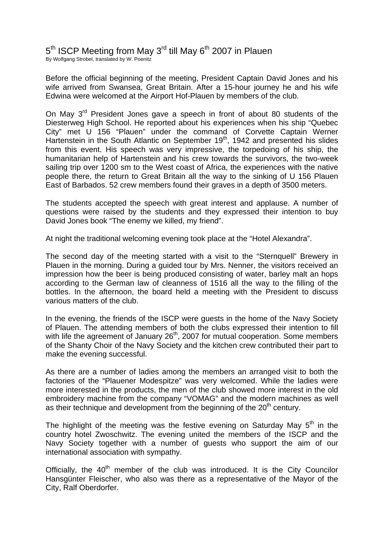5<sup>th</sup> ISCP Meeting from May 3<sup>rd</sup> till May 6<sup>th</sup> 2007 in Plauen By Wolfgang Strobel, translated by W. Poenitz

Before the official beginning of the meeting, President Captain David Jones and his wife arrived from Swansea, Great Britain. After a 15-hour journey he and his wife Edwina were welcomed at the Airport Hof-Plauen by members of the club.

On Mav 3<sup>rd</sup> President Jones gave a speech in front of about 80 students of the Diesterweg High School. He reported about his experiences when his ship "Quebec City" met U 156 "Plauen" under the command of Corvette Captain Werner Hartenstein in the South Atlantic on September  $19<sup>th</sup>$ , 1942 and presented his slides from this event. His speech was very impressive, the torpedoing of his ship, the humanitarian help of Hartenstein and his crew towards the survivors, the two-week sailing trip over 1200 sm to the West coast of Africa, the experiences with the native people there, the return to Great Britain all the way to the sinking of U 156 Plauen East of Barbados. 52 crew members found their graves in a depth of 3500 meters.

The students accepted the speech with great interest and applause. A number of questions were raised by the students and they expressed their intention to buy David Jones book "The enemy we killed, my friend".

At night the traditional welcoming evening took place at the "Hotel Alexandra".

The second day of the meeting started with a visit to the "Sternquell" Brewery in Plauen in the morning. During a guided tour by Mrs. Nenner, the visitors received an impression how the beer is being produced consisting of water, barley malt an hops according to the German law of cleanness of 1516 all the way to the filling of the bottles. In the afternoon, the board held a meeting with the President to discuss various matters of the club.

In the evening, the friends of the ISCP were guests in the home of the Navy Society of Plauen. The attending members of both the clubs expressed their intention to fill with life the agreement of January 26<sup>th</sup>, 2007 for mutual cooperation. Some members of the Shanty Choir of the Navy Society and the kitchen crew contributed their part to make the evening successful.

As there are a number of ladies among the members an arranged visit to both the factories of the "Plauener Modespitze" was very welcomed. While the ladies were more interested in the products, the men of the club showed more interest in the old embroidery machine from the company "VOMAG" and the modern machines as well as their technique and development from the beginning of the  $20<sup>th</sup>$  century.

The highlight of the meeting was the festive evening on Saturday May  $5<sup>th</sup>$  in the country hotel Zwoschwitz. The evening united the members of the ISCP and the Navy Society together with a number of guests who support the aim of our international association with sympathy.

Officially, the  $40<sup>th</sup>$  member of the club was introduced. It is the City Councilor Hansgünter Fleischer, who also was there as a representative of the Mayor of the City, Ralf Oberdorfer.